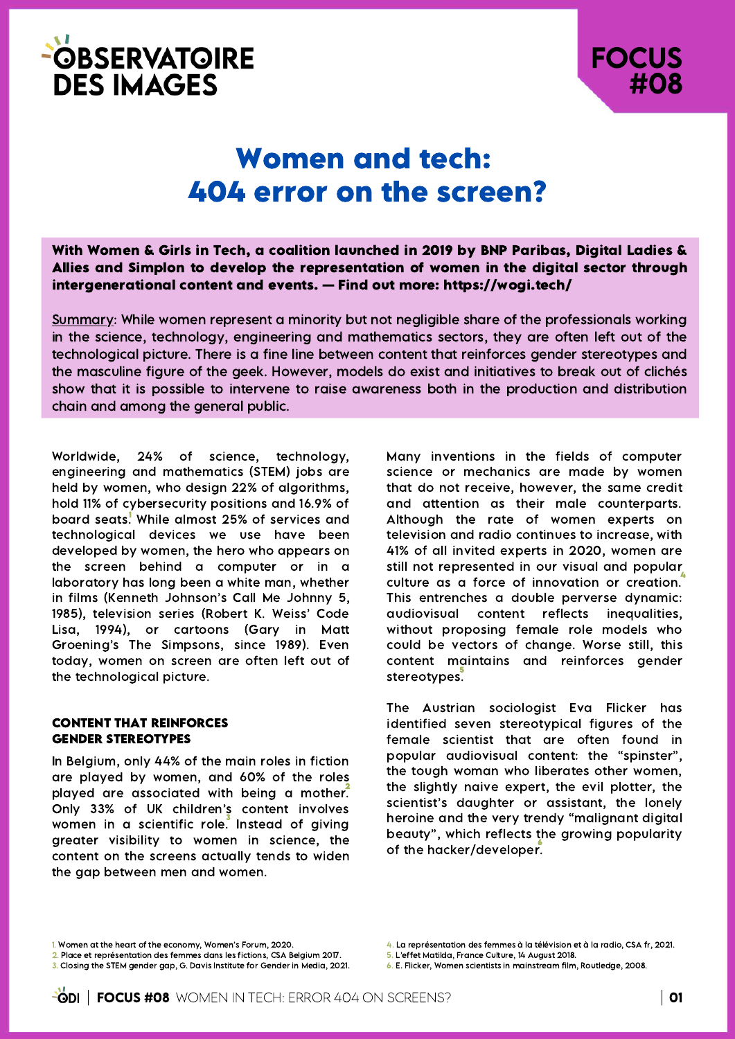



# Women and tech: 404 error on the screen?

With Women & Girls in Tech, a coalition launched in 2019 by BNP Paribas, Digital Ladies & Allies and Simplon to develop the representation of women in the digital sector through intergenerational content and events. — Find out more: https://wogi.tech/

Summary: While women represent a minority but not negligible share of the professionals working in the science, technology, engineering and mathematics sectors, they are often left out of the technological picture. There is a fine line between content that reinforces gender stereotypes and the masculine figure of the geek. However, models do exist and initiatives to break out of clichés show that it is possible to intervene to raise awareness both in the production and distribution chain and among the general public.

Worldwide, 24% of science, technology, engineering and mathematics (STEM) jobs are held by women, who design 22% of algorithms, hold 11% of cybersecurity positions and 16.9% of board seats.<sup>!</sup> While almost 25% of services and technological devices we use have been developed by women, the hero who appears on the screen behind a computer or in a laboratory has long been a white man, whether in films (Kenneth Johnson's Call Me Johnny 5, 1985), television series (Robert K. Weiss' Code Lisa, 1994), or cartoons (Gary in Matt Groening's The Simpsons, since 1989). Even today, women on screen are often left out of the technological picture.

#### CONTENT THAT REINFORCES GENDER STEREOTYPES

In Belgium, only 44% of the main roles in fiction are played by women, and 60% of the roles 2 played are associated with being a mother. Only 33% of UK children's content involves women in a scientific role. Instead of giving 3 greater visibility to women in science, the content on the screens actually tends to widen the gap between men and women.

Many inventions in the fields of computer science or mechanics are made by women that do not receive, however, the same credit and attention as their male counterparts. Although the rate of women experts on television and radio continues to increase, with 41% of all invited experts in 2020, women are still not represented in our visual and popular culture as a force of innovation or creation. This entrenches a double perverse dynamic: audiovisual content reflects inequalities, without proposing female role models who could be vectors of change. Worse still, this content maintains and reinforces gender stereotypes. 5

The Austrian sociologist Eva Flicker has identified seven stereotypical figures of the female scientist that are often found in popular audiovisual content: the "spinster", the tough woman who liberates other women, the slightly naive expert, the evil plotter, the scientist's daughter or assistant, the lonely heroine and the very trendy "malignant digital beauty", which reflects the growing popularity of the hacker/developer.

6. E. Flicker, Women scientists in mainstream film, Routledge, 2008.

<sup>1.</sup> Women at the heart of the economy, Women's Forum, 2020.

<sup>2.</sup> Place et représentation des femmes dans les fictions, CSA Belgium 2017. 3. Closing the STEM gender gap, G. Davis Institute for Gender in Media, 2021.

<sup>4.</sup> La représentation des femmes à la télévision et à la radio, CSA fr, 2021.

<sup>5.</sup> L'effet Matilda, France Culture, 14 August 2018.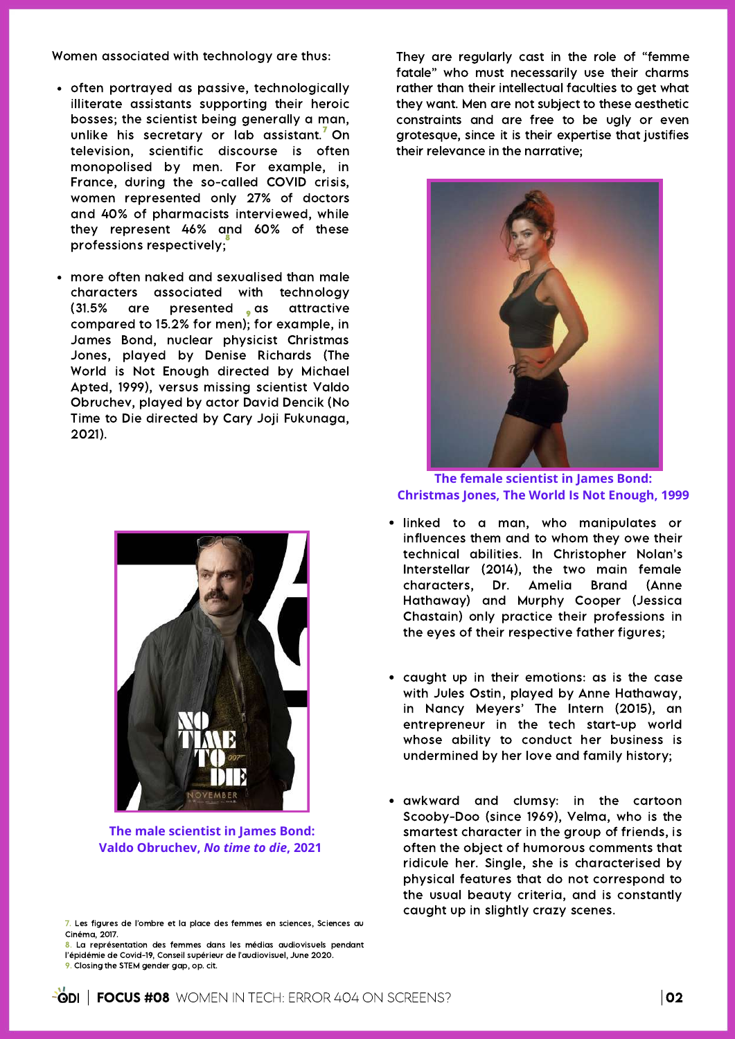Women associated with technology are thus:

- often portrayed as passive, technologically illiterate assistants supporting their heroic bosses; the scientist being generally a man, unlike his secretary or  $ab$  assistant.<sup>7</sup> On television, scientific discourse is often monopolised by men. For example, in France, during the so-called COVID crisis, women represented only 27% of doctors and 40% of pharmacists interviewed, while they represent 46% and 60% of these professions respectively; 8
- more often naked and sexualised than male characters associated with technology (31.5% are presented as attractive compared to 15.2% for men); for example, in James Bond, nuclear physicist Christmas Jones, played by Denise Richards (The World is Not Enough [directed](https://www.bing.com/search?q=Michael+Apted&filters=ufn:%20%22Michael+Apted%20%22+sid:%20%22642251c5-b3fd-1404-4262-dfe7dedafebe%20%22+gsexp:%20%228e84d7f2-733b-5133-c0d9-e72c32534680_bXNvL2ZpbG0uZmlsbS5kaXJlY3RvcnxUcnVl%22&FORM=SNAPST) by Michael Apted, 1999), versus missing scientist Valdo Obruchev, played by actor David Dencik (No Time to Die directed by Cary Joji [Fukunaga,](https://www.bing.com/search?q=Cary+Joji+Fukunaga&filters=ufn:%20%22Cary+Joji+Fukunaga%20%22+sid:%20%2277e3a15f-c1ba-dac7-94ab-e747e9358f49%22+gsexp:%20%2289a1dd89-7282-49a8-ba34-b18fdebb7911_bXNvL2ZpbG0uZmlsbS5kaXJlY3RvcnxUcnVl%22&FORM=SNAPST) 2021).



**The male scientist in James Bond: Valdo Obruchev,** *No time to die***, 2021**

8. La représentation des femmes dans les médias audiovisuels pendant l'épidémie de Covid-19, Conseil supérieur de l'audiovisuel, June 2020. 9. Closing the STEM gender gap, op. cit.

They are regularly cast in the role of "femme fatale" who must necessarily use their charms rather than their intellectual faculties to get what they want. Men are not subject to these aesthetic constraints and are free to be ugly or even grotesque, since it is their expertise that justifies their relevance in the narrative;



**The female scientist in James Bond: Christmas Jones, The World Is Not Enough, 1999**

- linked to a man, who manipulates or influences them and to whom they owe their technical abilities. In Christopher Nolan's Interstellar (2014), the two main female characters, Dr. Amelia Brand (Anne Hathaway) and Murphy Cooper (Jessica Chastain) only practice their professions in the eyes of their respective father figures;
- caught up in their emotions: as is the case with Jules Ostin, played by Anne Hathaway, in Nancy Meyers' The Intern (2015), an entrepreneur in the tech start-up world whose ability to conduct her business is undermined by her love and family history;
- awkward and clumsy: in the cartoon Scooby-Doo (since 1969), Velma, who is the smartest character in the group of friends, is often the object of humorous comments that ridicule her. Single, she is characterised by physical features that do not correspond to the usual beauty criteria, and is constantly caught up in slightly crazy scenes.

<sup>7.</sup> Les figures de l'ombre et la place des femmes en sciences, Sciences au Cinéma, 2017.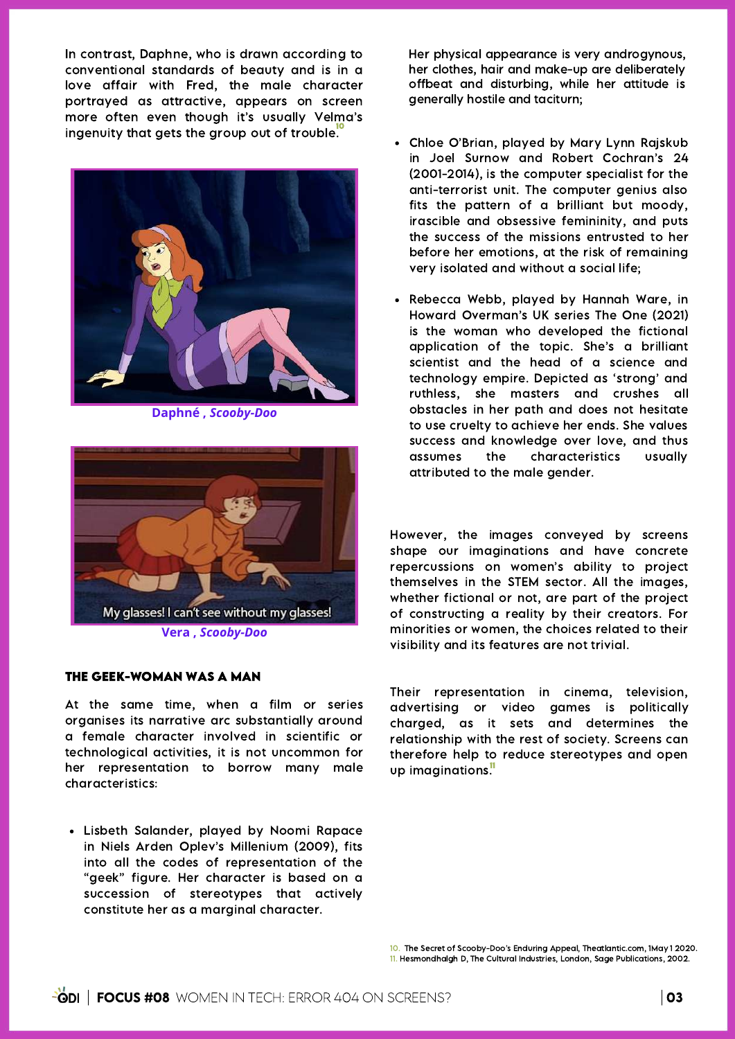In contrast, Daphne, who is drawn according to conventional standards of beauty and is in a love affair with Fred, the male character portrayed as attractive, appears on screen more often even though it's usually Velma's ingenuity that gets the group out of trouble.<sup>10</sup>



**Daphné ,** *Scooby-Doo*



## THE GEEK-WOMAN WAS A MAN

At the same time, when a film or series organises its narrative arc substantially around a female character involved in scientific or technological activities, it is not uncommon for her representation to borrow many male characteristics:

Lisbeth Salander, played by Noomi Rapace in Niels Arden Oplev's Millenium (2009), fits into all the codes of representation of the "geek" figure. Her character is based on a succession of stereotypes that actively constitute her as a marginal character.

Her physical appearance is very androgynous, her clothes, hair and make-up are deliberately offbeat and disturbing, while her attitude is generally hostile and taciturn;

- Chloe O'Brian, played by Mary Lynn Rajskub in Joel [Surnow](https://fr.wikipedia.org/wiki/Joel_Surnow) and Robert Cochran's 24 (2001-2014), is the computer specialist for the anti-terrorist unit. The computer genius also fits the pattern of a brilliant but moody, irascible and obsessive femininity, and puts the success of the missions entrusted to her before her emotions, at the risk of remaining very isolated and without a social life;
- Rebecca Webb, played by Hannah Ware, in Howard Overman's UK series The One (2021) is the woman who developed the fictional application of the topic. She's a brilliant scientist and the head of a science and technology empire. Depicted as 'strong' and ruthless, she masters and crushes all obstacles in her path and does not hesitate to use cruelty to achieve her ends. She values success and knowledge over love, and thus assumes the characteristics usually attributed to the male gender.

However, the images conveyed by screens shape our imaginations and have concrete repercussions on women's ability to project themselves in the STEM sector. All the images, whether fictional or not, are part of the project of constructing a reality by their creators. For minorities or women, the choices related to their visibility and its features are not trivial.

Their representation in cinema, television, advertising or video games is politically charged, as it sets and determines the relationship with the rest of society. Screens can therefore help to reduce stereotypes and open up imaginations."

10. The Secret of Scooby-Doo's Enduring Appeal, Theatlantic.com, 1May 1 2020. 11. Hesmondhalgh D, The Cultural Industries, London, Sage Publications, 2002.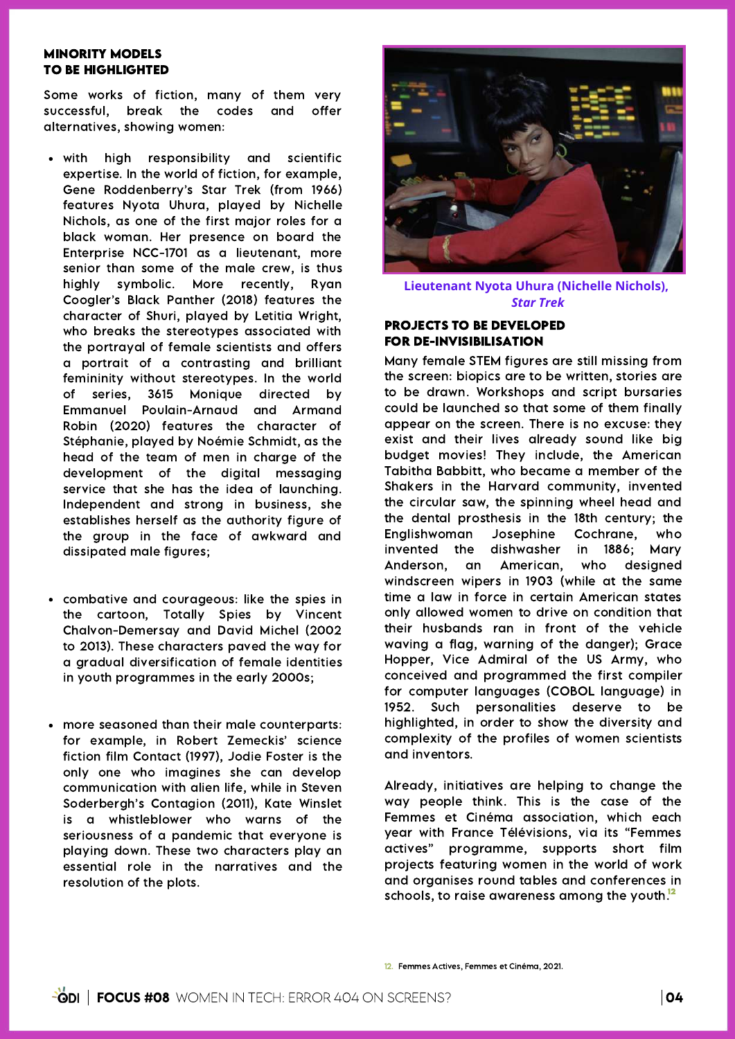#### MINORITY MODELS TO BE HIGHLIGHTED

Some works of fiction, many of them very successful, break the codes and offer alternatives, showing women:

- with high responsibility and scientific expertise. In the world of fiction, for example, Gene Roddenberry's Star Trek (from 1966) features Nyota Uhura, played by Nichelle Nichols, as one of the first major roles for a black woman. Her presence on board the [Enterprise](https://fr.wikipedia.org/wiki/USS_Enterprise_(NCC-1701)) NCC-1701 as a [lieutenant,](https://fr.wikipedia.org/wiki/Lieutenant_(military_grade)) more senior than some of the male crew, is thus highly symbolic. More recently, Ryan Coogler's Black Panther (2018) features the character of Shuri, played by Letitia Wright, who breaks the stereotypes associated with the portrayal of female scientists and offers a portrait of a contrasting and brilliant femininity without stereotypes. In the world of series, 3615 Monique directed by Emmanuel Poulain-Arnaud and Armand Robin (2020) features the character of Stéphanie, played by Noémie Schmidt, as the head of the team of men in charge of the development of the digital messaging service that she has the idea of launching. Independent and strong in business, she establishes herself as the authority figure of the group in the face of awkward and dissipated male figures;
- combative and courageous: like the spies in the cartoon, Totally Spies by Vincent Chalvon-Demersay and David Michel (2002 to 2013). These characters paved the way for a gradual diversification of female identities in youth programmes in the early 2000s;
- more seasoned than their male counterparts: for example, in Robert Zemeckis' science fiction film Contact (1997), Jodie Foster is the only one who imagines she can develop communication with alien life, while in Steven Soderbergh's Contagion (2011), Kate Winslet is a whistleblower who warns of the seriousness of a pandemic that everyone is playing down. These two characters play an essential role in the narratives and the resolution of the plots.



**Lieutenant Nyota Uhura (Nichelle Nichols),** *Star Trek*

## PROJECTS TO BE DEVELOPED FOR DE-INVISIBILISATION

Many female STEM figures are still missing from the screen: biopics are to be written, stories are to be drawn. Workshops and script bursaries could be launched so that some of them finally appear on the screen. There is no excuse: they exist and their lives already sound like big budget movies! They include, the American Tabitha Babbitt, who became a member of the Shakers in the Harvard community, invented the circular saw, the spinning wheel head and the dental prosthesis in the 18th century; the Englishwoman Josephine Cochrane, who invented the dishwasher in 1886; Mary Anderson, an American, who designed windscreen wipers in 1903 (while at the same time a law in force in certain American states only allowed women to drive on condition that their husbands ran in front of the vehicle waving a flag, warning of the danger); Grace Hopper, Vice Admiral of the US Army, who conceived and programmed the first compiler for computer languages (COBOL language) in 1952. Such personalities deserve to be highlighted, in order to show the diversity and complexity of the profiles of women scientists and inventors.

Already, initiatives are helping to change the way people think. This is the case of the Femmes et Cinéma association, which each year with France Télévisions, via its "Femmes actives" programme, supports short film projects featuring women in the world of work and organises round tables and conferences in schools, to raise awareness amona the youth.<sup>12</sup>

```
12. Femmes Actives, Femmes et Cinéma, 2021.
```